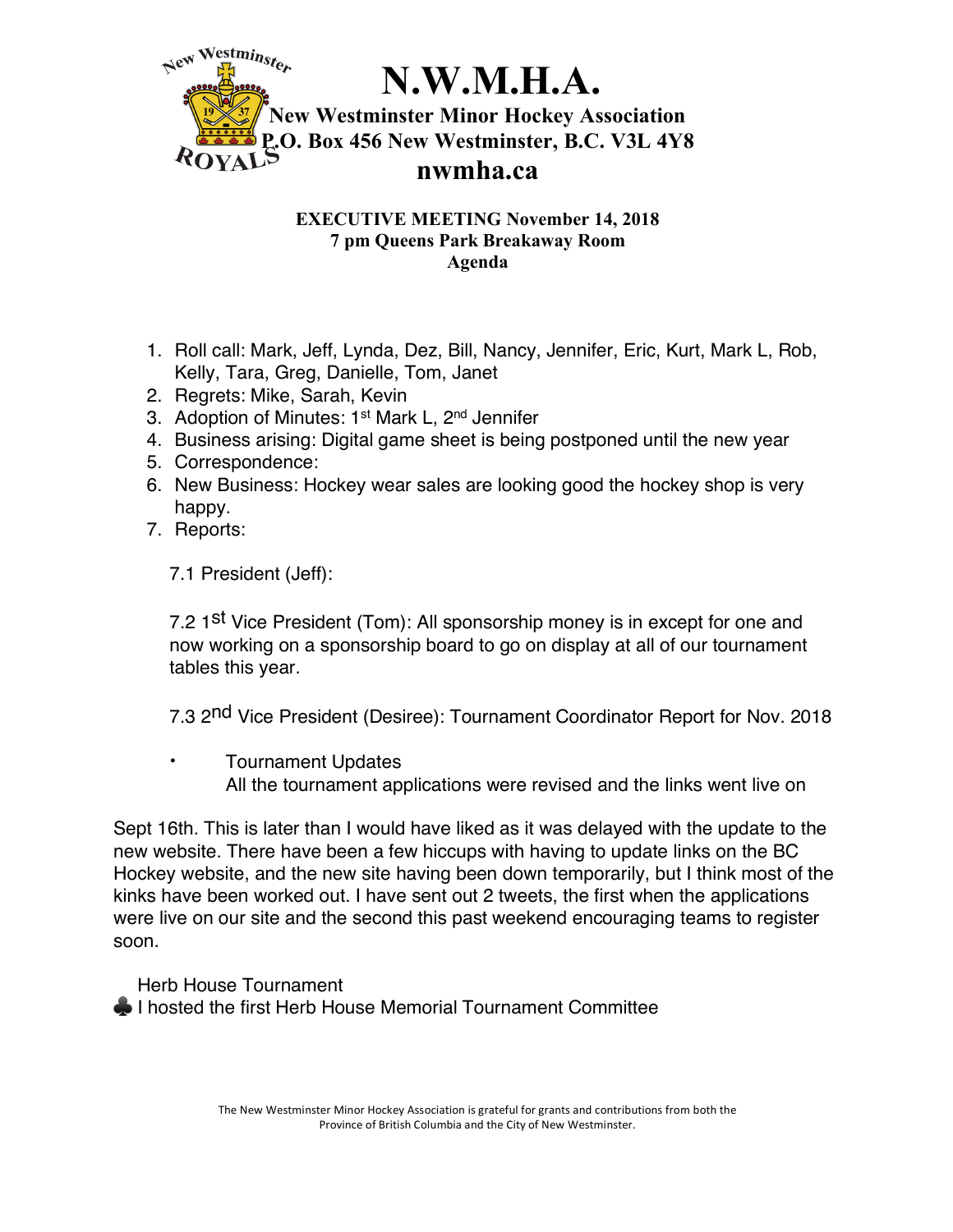

## **EXECUTIVE MEETING November 14, 2018 7 pm Queens Park Breakaway Room Agenda**

- 1. Roll call: Mark, Jeff, Lynda, Dez, Bill, Nancy, Jennifer, Eric, Kurt, Mark L, Rob, Kelly, Tara, Greg, Danielle, Tom, Janet
- 2. Regrets: Mike, Sarah, Kevin
- 3. Adoption of Minutes: 1<sup>st</sup> Mark L, 2<sup>nd</sup> Jennifer
- 4. Business arising: Digital game sheet is being postponed until the new year
- 5. Correspondence:
- 6. New Business: Hockey wear sales are looking good the hockey shop is very happy.
- 7. Reports:

7.1 President (Jeff):

7.2 1<sup>st</sup> Vice President (Tom): All sponsorship money is in except for one and now working on a sponsorship board to go on display at all of our tournament tables this year.

7.3 2<sup>nd</sup> Vice President (Desiree): Tournament Coordinator Report for Nov. 2018

• Tournament Updates All the tournament applications were revised and the links went live on

Sept 16th. This is later than I would have liked as it was delayed with the update to the new website. There have been a few hiccups with having to update links on the BC Hockey website, and the new site having been down temporarily, but I think most of the kinks have been worked out. I have sent out 2 tweets, the first when the applications were live on our site and the second this past weekend encouraging teams to register soon.

Herb House Tournament

**◆ I hosted the first Herb House Memorial Tournament Committee**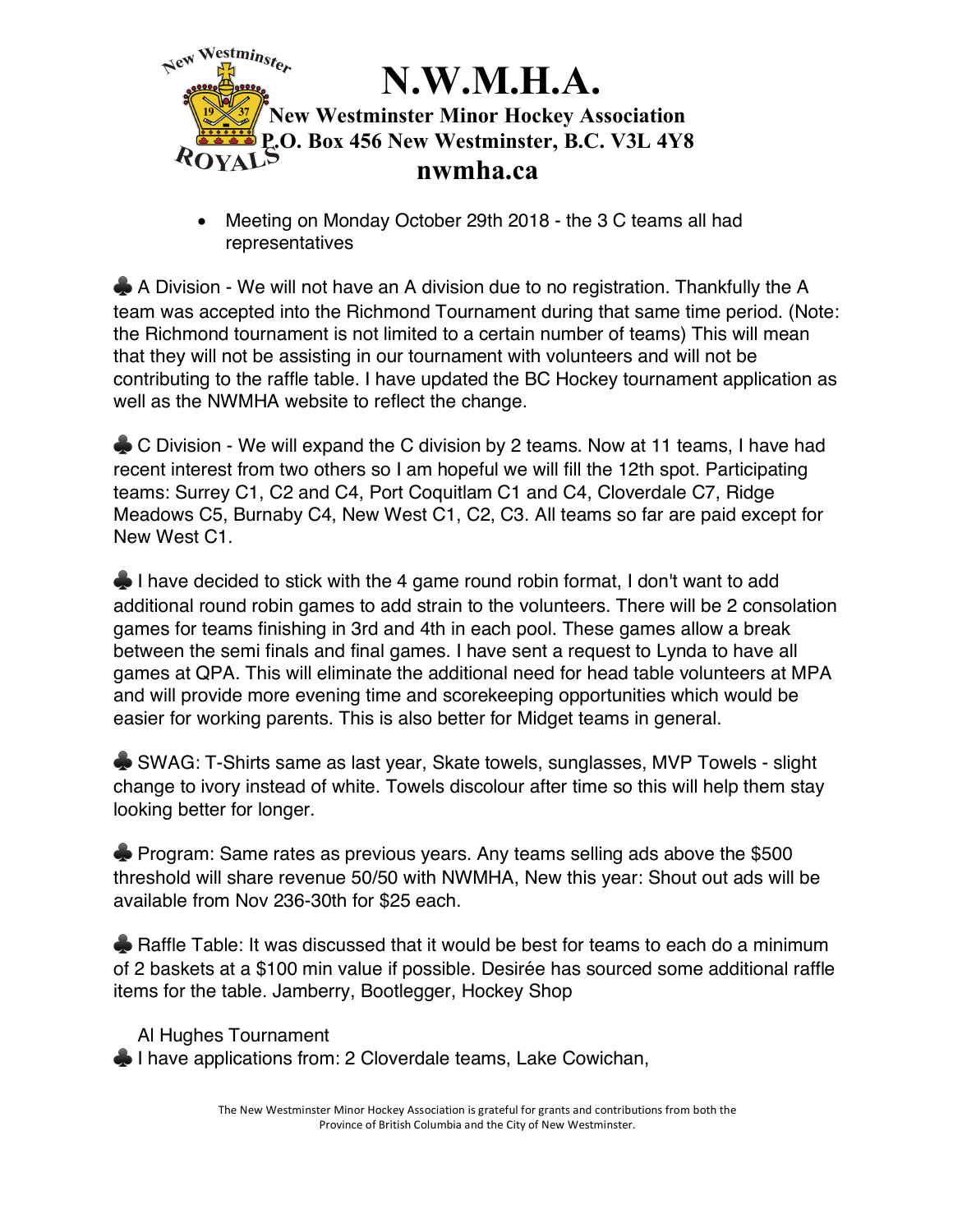

• Meeting on Monday October 29th 2018 - the 3 C teams all had representatives

♣ A Division - We will not have an A division due to no registration. Thankfully the A team was accepted into the Richmond Tournament during that same time period. (Note: the Richmond tournament is not limited to a certain number of teams) This will mean that they will not be assisting in our tournament with volunteers and will not be contributing to the raffle table. I have updated the BC Hockey tournament application as well as the NWMHA website to reflect the change.

♣ C Division - We will expand the C division by 2 teams. Now at 11 teams, I have had recent interest from two others so I am hopeful we will fill the 12th spot. Participating teams: Surrey C1, C2 and C4, Port Coquitlam C1 and C4, Cloverdale C7, Ridge Meadows C5, Burnaby C4, New West C1, C2, C3. All teams so far are paid except for New West C1.

◆ I have decided to stick with the 4 game round robin format, I don't want to add additional round robin games to add strain to the volunteers. There will be 2 consolation games for teams finishing in 3rd and 4th in each pool. These games allow a break between the semi finals and final games. I have sent a request to Lynda to have all games at QPA. This will eliminate the additional need for head table volunteers at MPA and will provide more evening time and scorekeeping opportunities which would be easier for working parents. This is also better for Midget teams in general.

♣ SWAG: T-Shirts same as last year, Skate towels, sunglasses, MVP Towels - slight change to ivory instead of white. Towels discolour after time so this will help them stay looking better for longer.

♣ Program: Same rates as previous years. Any teams selling ads above the \$500 threshold will share revenue 50/50 with NWMHA, New this year: Shout out ads will be available from Nov 236-30th for \$25 each.

**► Raffle Table: It was discussed that it would be best for teams to each do a minimum** of 2 baskets at a \$100 min value if possible. Desirée has sourced some additional raffle items for the table. Jamberry, Bootlegger, Hockey Shop

Al Hughes Tournament ♣ I have applications from: 2 Cloverdale teams, Lake Cowichan,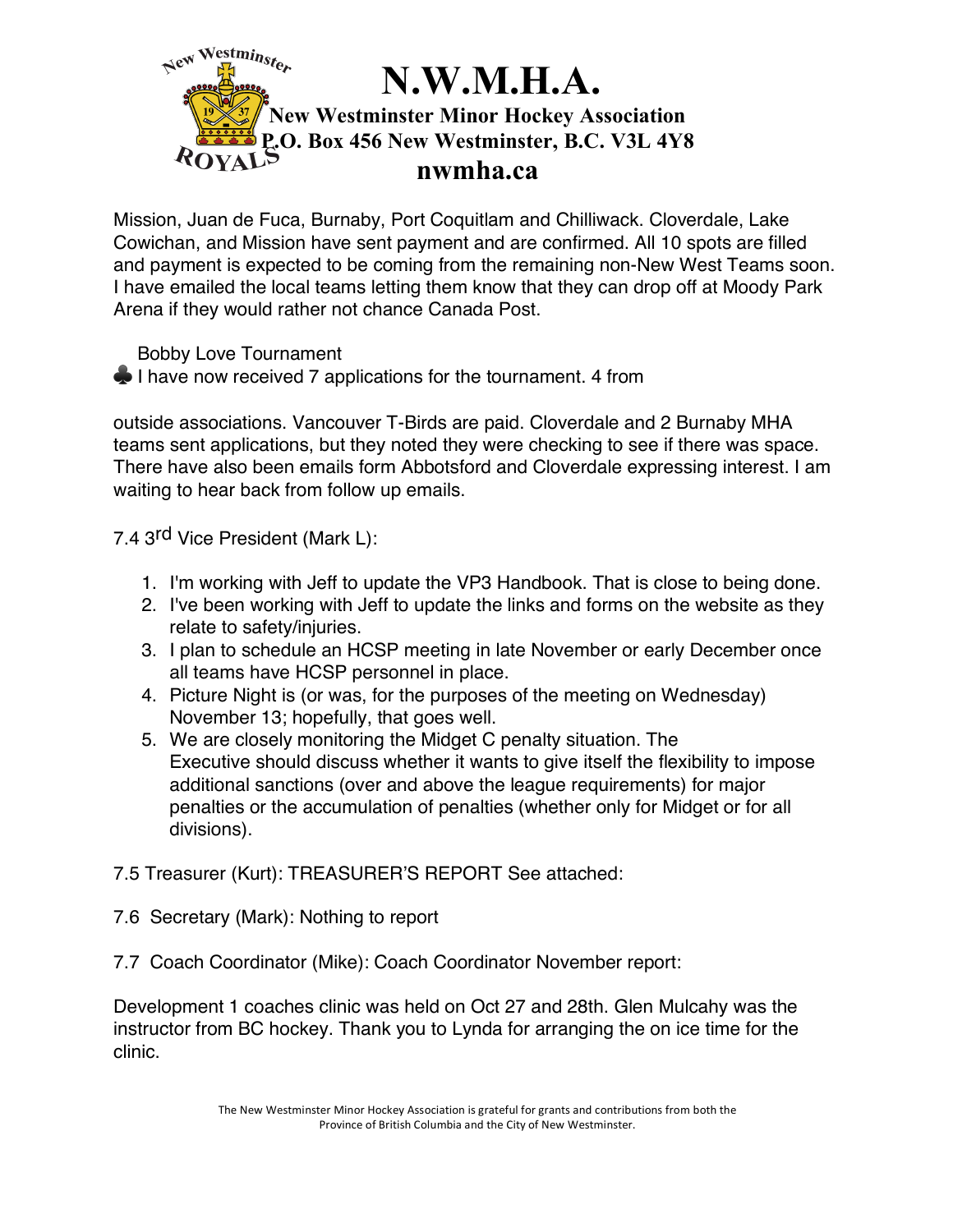

Mission, Juan de Fuca, Burnaby, Port Coquitlam and Chilliwack. Cloverdale, Lake Cowichan, and Mission have sent payment and are confirmed. All 10 spots are filled and payment is expected to be coming from the remaining non-New West Teams soon. I have emailed the local teams letting them know that they can drop off at Moody Park Arena if they would rather not chance Canada Post.

Bobby Love Tournament

 $\bullet$  I have now received 7 applications for the tournament. 4 from

outside associations. Vancouver T-Birds are paid. Cloverdale and 2 Burnaby MHA teams sent applications, but they noted they were checking to see if there was space. There have also been emails form Abbotsford and Cloverdale expressing interest. I am waiting to hear back from follow up emails.

7.4 3<sup>rd</sup> Vice President (Mark L):

- 1. I'm working with Jeff to update the VP3 Handbook. That is close to being done.
- 2. I've been working with Jeff to update the links and forms on the website as they relate to safety/injuries.
- 3. I plan to schedule an HCSP meeting in late November or early December once all teams have HCSP personnel in place.
- 4. Picture Night is (or was, for the purposes of the meeting on Wednesday) November 13; hopefully, that goes well.
- 5. We are closely monitoring the Midget C penalty situation. The Executive should discuss whether it wants to give itself the flexibility to impose additional sanctions (over and above the league requirements) for major penalties or the accumulation of penalties (whether only for Midget or for all divisions).
- 7.5 Treasurer (Kurt): TREASURER'S REPORT See attached:
- 7.6 Secretary (Mark): Nothing to report
- 7.7 Coach Coordinator (Mike): Coach Coordinator November report:

Development 1 coaches clinic was held on Oct 27 and 28th. Glen Mulcahy was the instructor from BC hockey. Thank you to Lynda for arranging the on ice time for the clinic.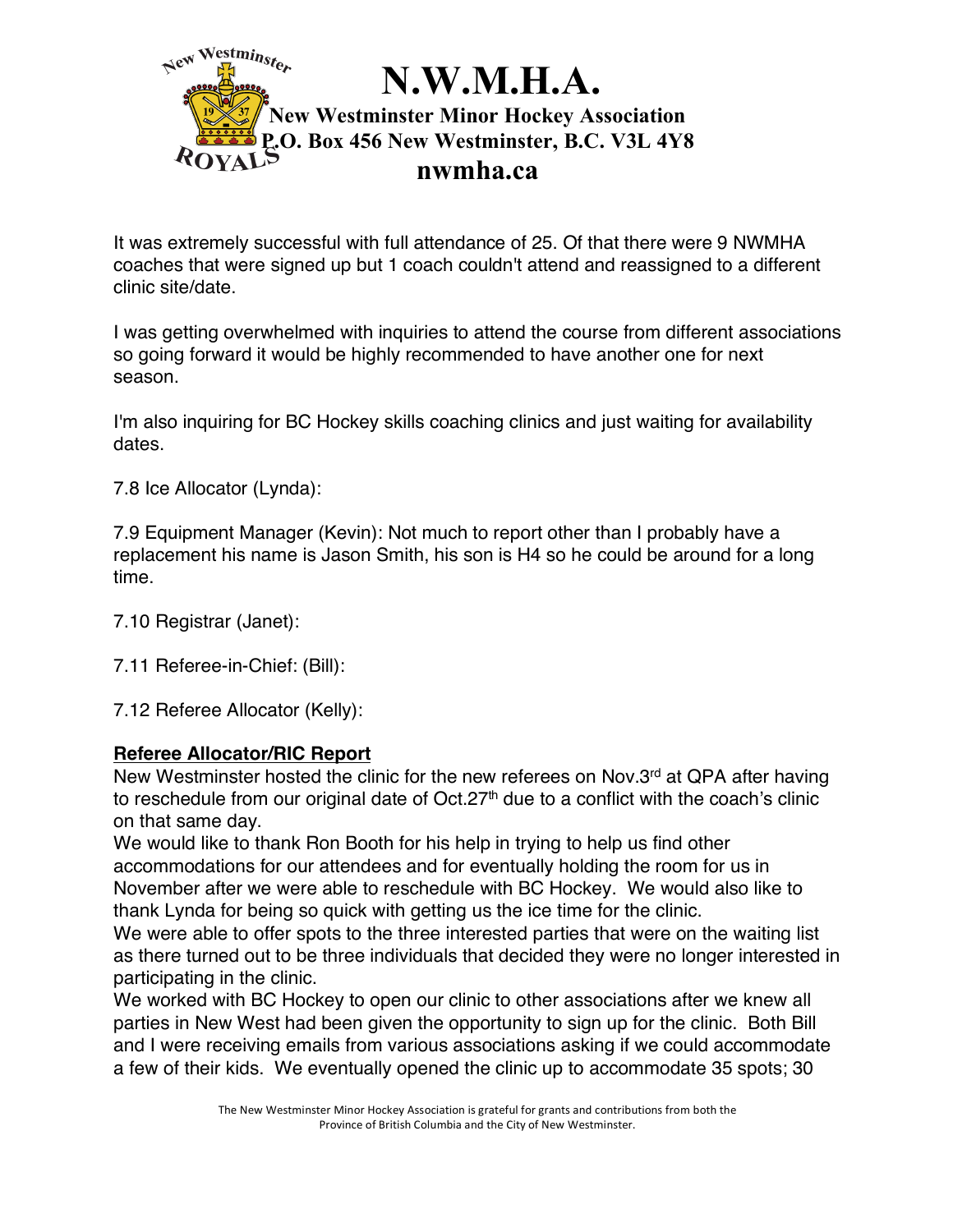

It was extremely successful with full attendance of 25. Of that there were 9 NWMHA coaches that were signed up but 1 coach couldn't attend and reassigned to a different clinic site/date.

I was getting overwhelmed with inquiries to attend the course from different associations so going forward it would be highly recommended to have another one for next season.

I'm also inquiring for BC Hockey skills coaching clinics and just waiting for availability dates.

7.8 Ice Allocator (Lynda):

7.9 Equipment Manager (Kevin): Not much to report other than I probably have a replacement his name is Jason Smith, his son is H4 so he could be around for a long time.

7.10 Registrar (Janet):

7.11 Referee-in-Chief: (Bill):

7.12 Referee Allocator (Kelly):

## **Referee Allocator/RIC Report**

New Westminster hosted the clinic for the new referees on Nov.3<sup>rd</sup> at QPA after having to reschedule from our original date of  $Oct.27<sup>th</sup>$  due to a conflict with the coach's clinic on that same day.

We would like to thank Ron Booth for his help in trying to help us find other accommodations for our attendees and for eventually holding the room for us in November after we were able to reschedule with BC Hockey. We would also like to thank Lynda for being so quick with getting us the ice time for the clinic.

We were able to offer spots to the three interested parties that were on the waiting list as there turned out to be three individuals that decided they were no longer interested in participating in the clinic.

We worked with BC Hockey to open our clinic to other associations after we knew all parties in New West had been given the opportunity to sign up for the clinic. Both Bill and I were receiving emails from various associations asking if we could accommodate a few of their kids. We eventually opened the clinic up to accommodate 35 spots; 30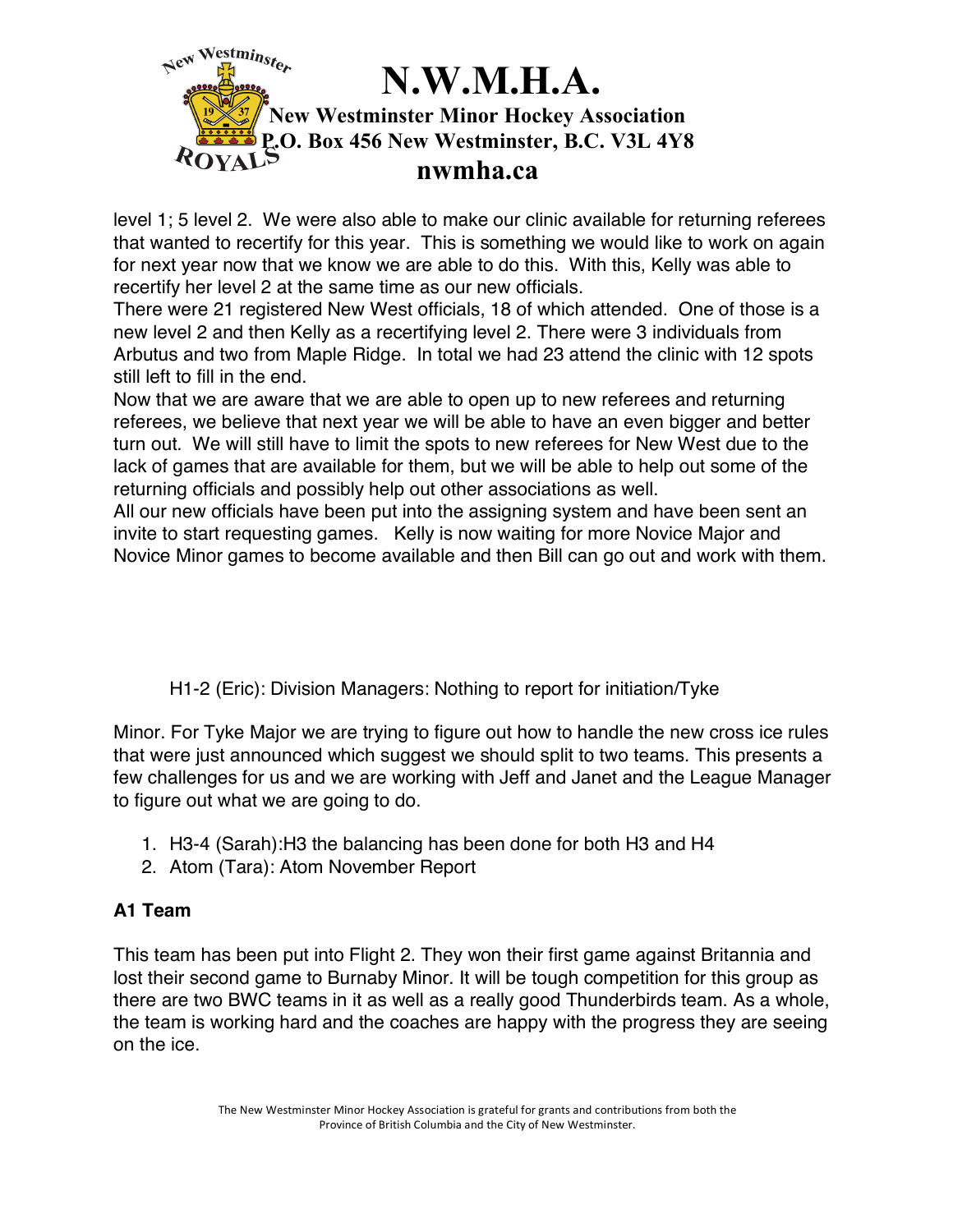

level 1; 5 level 2. We were also able to make our clinic available for returning referees that wanted to recertify for this year. This is something we would like to work on again for next year now that we know we are able to do this. With this, Kelly was able to recertify her level 2 at the same time as our new officials.

There were 21 registered New West officials, 18 of which attended. One of those is a new level 2 and then Kelly as a recertifying level 2. There were 3 individuals from Arbutus and two from Maple Ridge. In total we had 23 attend the clinic with 12 spots still left to fill in the end.

Now that we are aware that we are able to open up to new referees and returning referees, we believe that next year we will be able to have an even bigger and better turn out. We will still have to limit the spots to new referees for New West due to the lack of games that are available for them, but we will be able to help out some of the returning officials and possibly help out other associations as well.

All our new officials have been put into the assigning system and have been sent an invite to start requesting games. Kelly is now waiting for more Novice Major and Novice Minor games to become available and then Bill can go out and work with them.

H1-2 (Eric): Division Managers: Nothing to report for initiation/Tyke

Minor. For Tyke Major we are trying to figure out how to handle the new cross ice rules that were just announced which suggest we should split to two teams. This presents a few challenges for us and we are working with Jeff and Janet and the League Manager to figure out what we are going to do.

- 1. H3-4 (Sarah):H3 the balancing has been done for both H3 and H4
- 2. Atom (Tara): Atom November Report

## **A1 Team**

This team has been put into Flight 2. They won their first game against Britannia and lost their second game to Burnaby Minor. It will be tough competition for this group as there are two BWC teams in it as well as a really good Thunderbirds team. As a whole, the team is working hard and the coaches are happy with the progress they are seeing on the ice.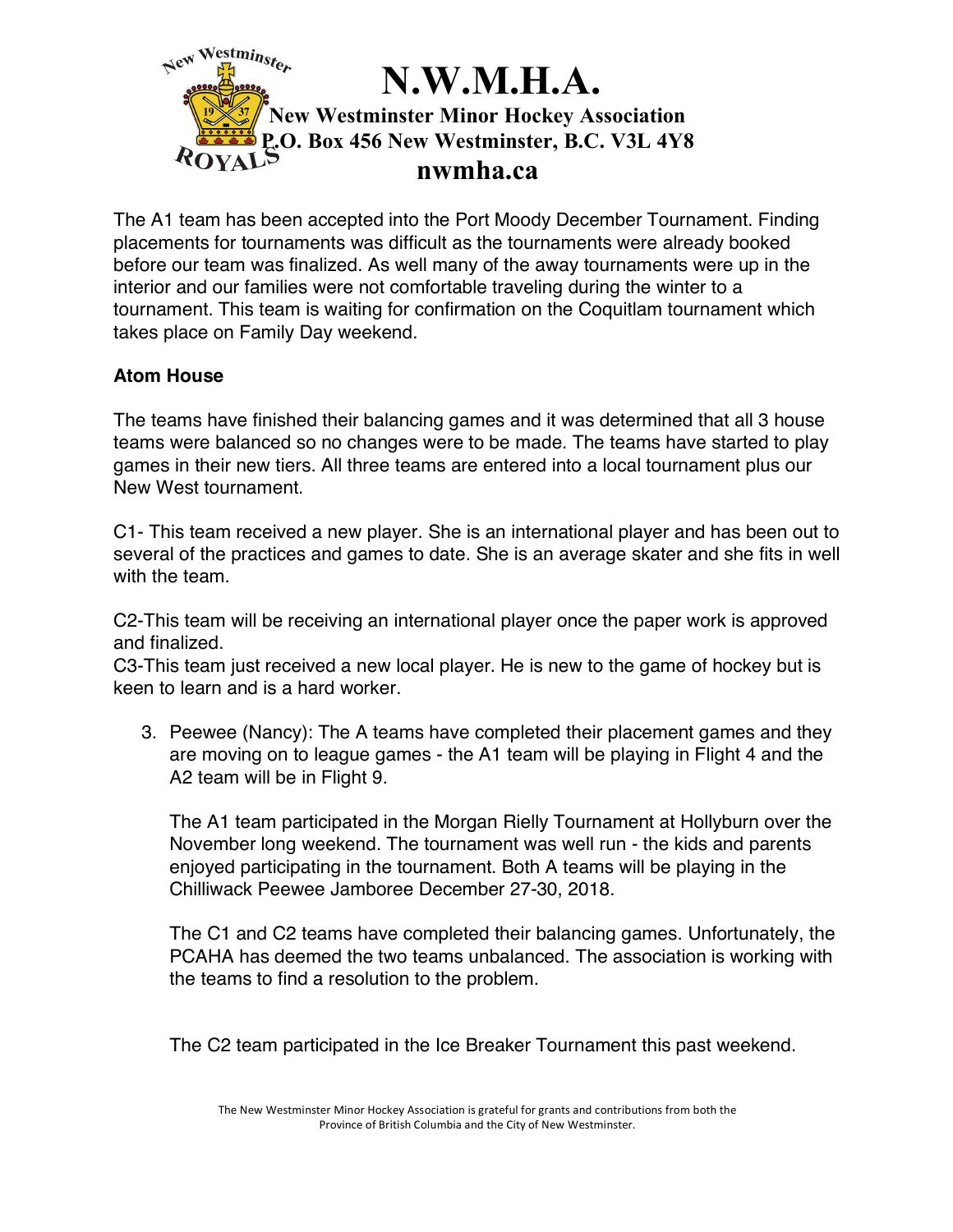

The A1 team has been accepted into the Port Moody December Tournament. Finding placements for tournaments was difficult as the tournaments were already booked before our team was finalized. As well many of the away tournaments were up in the interior and our families were not comfortable traveling during the winter to a tournament. This team is waiting for confirmation on the Coquitlam tournament which takes place on Family Day weekend.

## **Atom House**

The teams have finished their balancing games and it was determined that all 3 house teams were balanced so no changes were to be made. The teams have started to play games in their new tiers. All three teams are entered into a local tournament plus our New West tournament.

C1- This team received a new player. She is an international player and has been out to several of the practices and games to date. She is an average skater and she fits in well with the team.

C2-This team will be receiving an international player once the paper work is approved and finalized.

C3-This team just received a new local player. He is new to the game of hockey but is keen to learn and is a hard worker.

3. Peewee (Nancy): The A teams have completed their placement games and they are moving on to league games - the A1 team will be playing in Flight 4 and the A2 team will be in Flight 9.

The A1 team participated in the Morgan Rielly Tournament at Hollyburn over the November long weekend. The tournament was well run - the kids and parents enjoyed participating in the tournament. Both A teams will be playing in the Chilliwack Peewee Jamboree December 27-30, 2018.

The C1 and C2 teams have completed their balancing games. Unfortunately, the PCAHA has deemed the two teams unbalanced. The association is working with the teams to find a resolution to the problem.

The C2 team participated in the Ice Breaker Tournament this past weekend.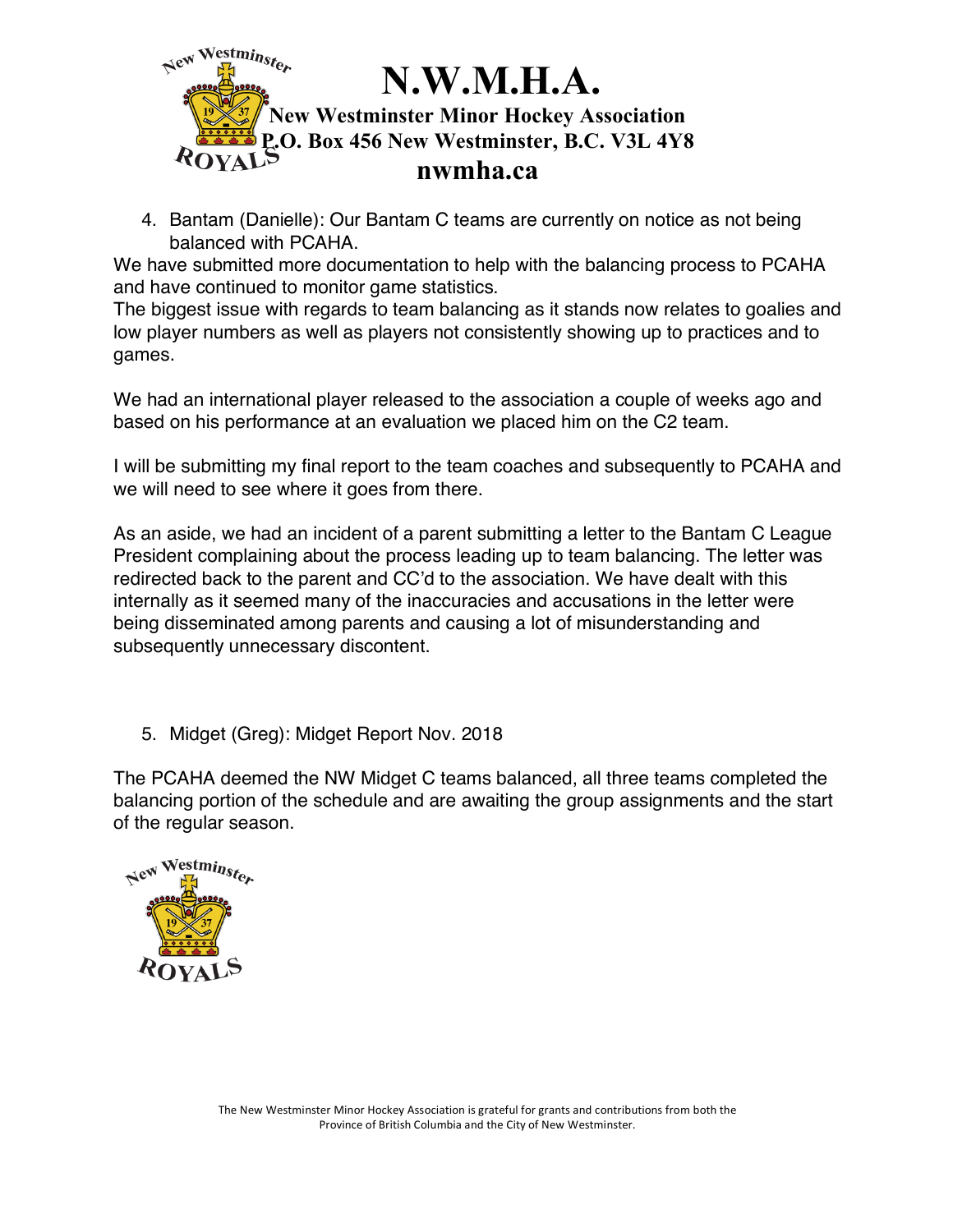

4. Bantam (Danielle): Our Bantam C teams are currently on notice as not being balanced with PCAHA.

We have submitted more documentation to help with the balancing process to PCAHA and have continued to monitor game statistics.

The biggest issue with regards to team balancing as it stands now relates to goalies and low player numbers as well as players not consistently showing up to practices and to games.

We had an international player released to the association a couple of weeks ago and based on his performance at an evaluation we placed him on the C2 team.

I will be submitting my final report to the team coaches and subsequently to PCAHA and we will need to see where it goes from there.

As an aside, we had an incident of a parent submitting a letter to the Bantam C League President complaining about the process leading up to team balancing. The letter was redirected back to the parent and CC'd to the association. We have dealt with this internally as it seemed many of the inaccuracies and accusations in the letter were being disseminated among parents and causing a lot of misunderstanding and subsequently unnecessary discontent.

5. Midget (Greg): Midget Report Nov. 2018

The PCAHA deemed the NW Midget C teams balanced, all three teams completed the balancing portion of the schedule and are awaiting the group assignments and the start of the regular season.

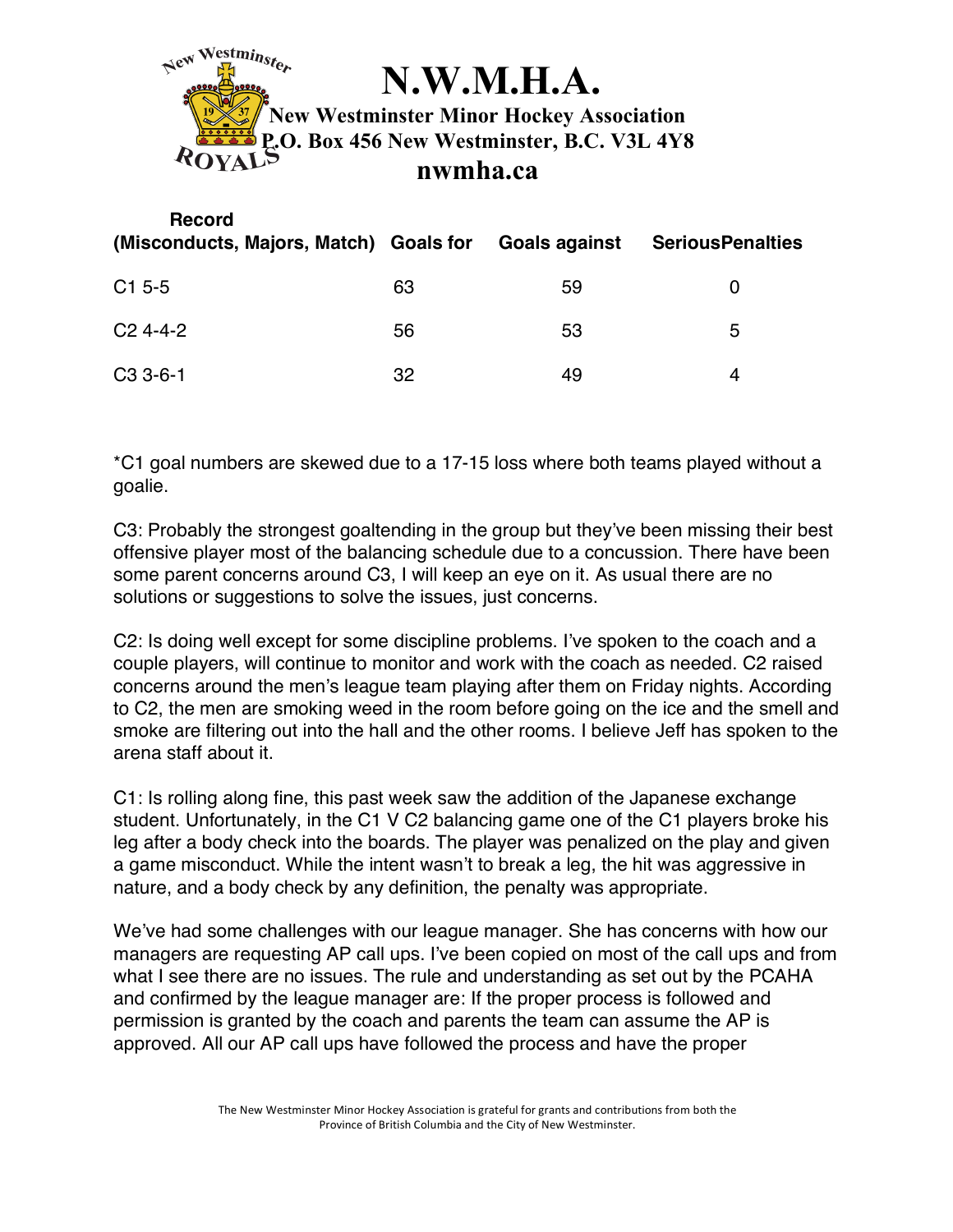

| <b>Record</b><br>(Misconducts, Majors, Match) Goals for |    | Goals against | <b>SeriousPenalties</b> |
|---------------------------------------------------------|----|---------------|-------------------------|
| $C1$ 5-5                                                | 63 | 59            | O                       |
| $C24--2$                                                | 56 | 53            | 5                       |
| $C33-6-1$                                               | 32 | 49            | 4                       |

\*C1 goal numbers are skewed due to a 17-15 loss where both teams played without a goalie.

C3: Probably the strongest goaltending in the group but they've been missing their best offensive player most of the balancing schedule due to a concussion. There have been some parent concerns around C3, I will keep an eye on it. As usual there are no solutions or suggestions to solve the issues, just concerns.

C2: Is doing well except for some discipline problems. I've spoken to the coach and a couple players, will continue to monitor and work with the coach as needed. C2 raised concerns around the men's league team playing after them on Friday nights. According to C2, the men are smoking weed in the room before going on the ice and the smell and smoke are filtering out into the hall and the other rooms. I believe Jeff has spoken to the arena staff about it.

C1: Is rolling along fine, this past week saw the addition of the Japanese exchange student. Unfortunately, in the C1 V C2 balancing game one of the C1 players broke his leg after a body check into the boards. The player was penalized on the play and given a game misconduct. While the intent wasn't to break a leg, the hit was aggressive in nature, and a body check by any definition, the penalty was appropriate.

We've had some challenges with our league manager. She has concerns with how our managers are requesting AP call ups. I've been copied on most of the call ups and from what I see there are no issues. The rule and understanding as set out by the PCAHA and confirmed by the league manager are: If the proper process is followed and permission is granted by the coach and parents the team can assume the AP is approved. All our AP call ups have followed the process and have the proper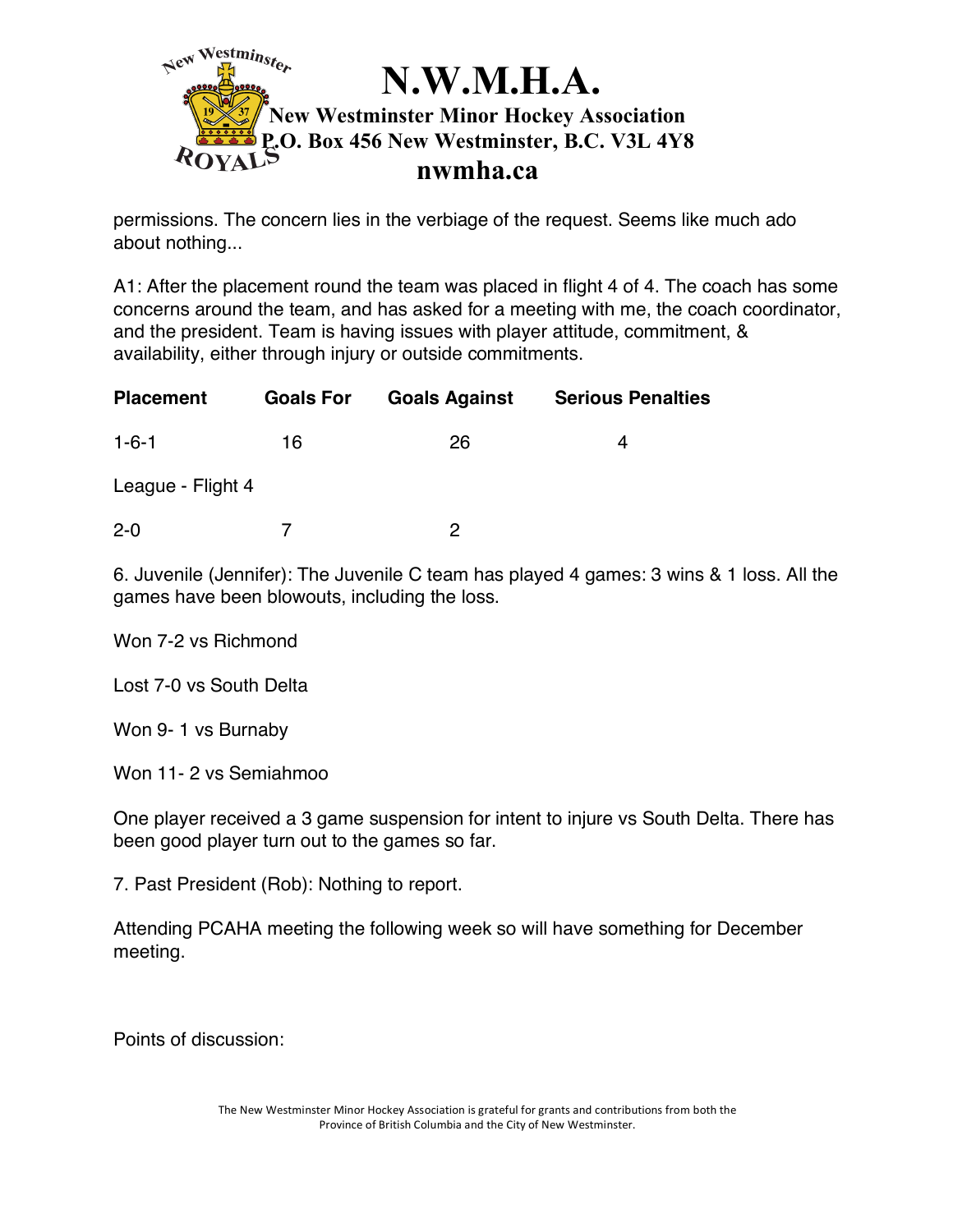

permissions. The concern lies in the verbiage of the request. Seems like much ado about nothing...

A1: After the placement round the team was placed in flight 4 of 4. The coach has some concerns around the team, and has asked for a meeting with me, the coach coordinator, and the president. Team is having issues with player attitude, commitment, & availability, either through injury or outside commitments.

| <b>Placement</b>  | <b>Goals For</b> | <b>Goals Against</b> | <b>Serious Penalties</b> |
|-------------------|------------------|----------------------|--------------------------|
| $1 - 6 - 1$       | 16               | 26                   | 4                        |
| League - Flight 4 |                  |                      |                          |
| $2 - 0$           |                  | っ                    |                          |

6. Juvenile (Jennifer): The Juvenile C team has played 4 games: 3 wins & 1 loss. All the games have been blowouts, including the loss.

Won 7-2 vs Richmond

Lost 7-0 vs South Delta

Won 9- 1 vs Burnaby

Won 11- 2 vs Semiahmoo

One player received a 3 game suspension for intent to injure vs South Delta. There has been good player turn out to the games so far.

7. Past President (Rob): Nothing to report.

Attending PCAHA meeting the following week so will have something for December meeting.

Points of discussion: